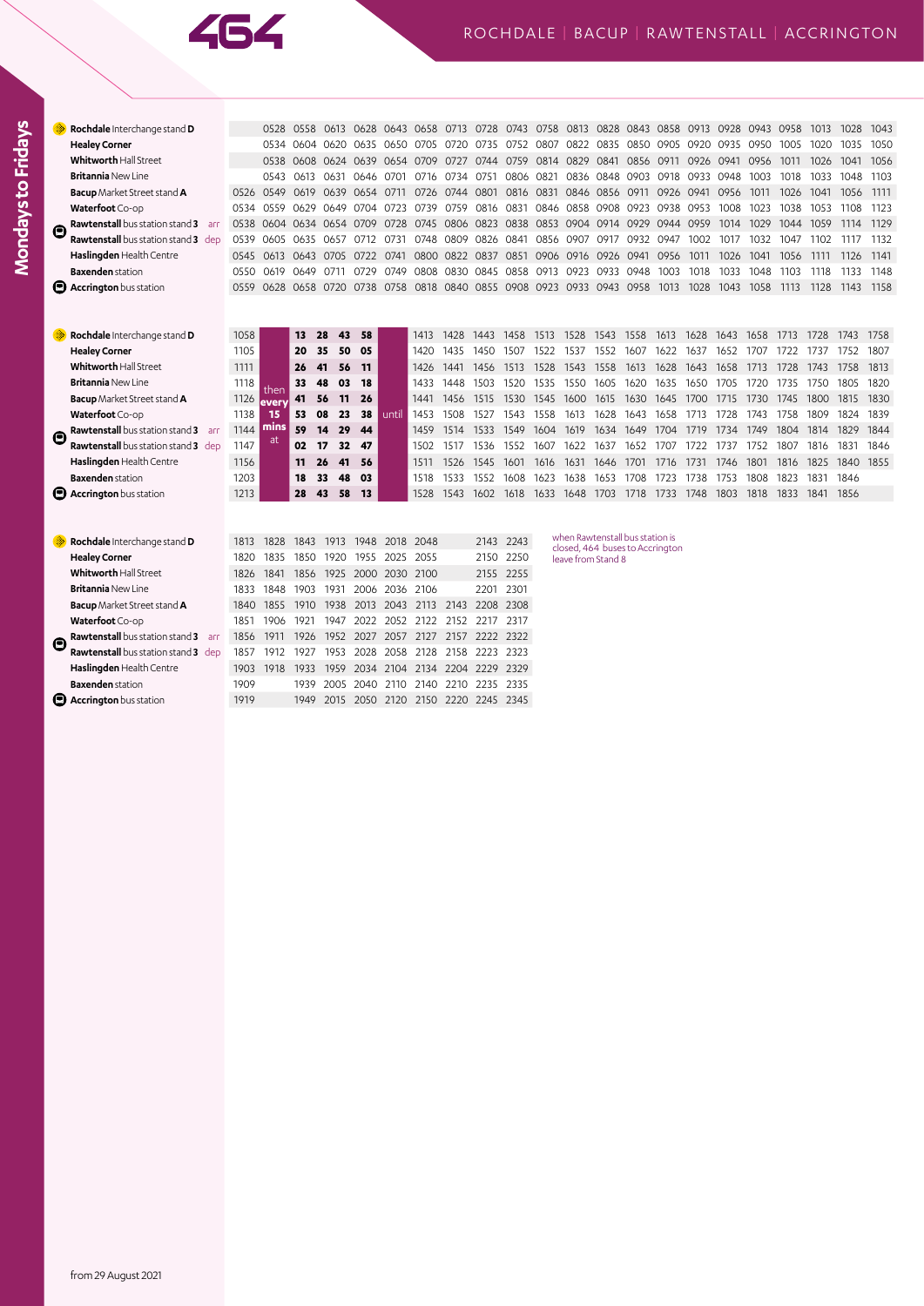

|   | Rochdale Interchange stand D              |      |               | 0528 0558 | 0613 0628 0643 0658 0713 0728 |           |           |                               |                |                | 0743 0758 0813 |                |           | 0828 0843 0858                                        |                |      | 0913 0928 0943 |           |           | 0958   | 1013 | 1028   | 1043 |
|---|-------------------------------------------|------|---------------|-----------|-------------------------------|-----------|-----------|-------------------------------|----------------|----------------|----------------|----------------|-----------|-------------------------------------------------------|----------------|------|----------------|-----------|-----------|--------|------|--------|------|
|   | <b>Healey Corner</b>                      |      |               | 0534 0604 | 0620                          |           | 0635 0650 | 0705                          | 0720           | 0735           | 0752           | 0807           | 0822      | 0835                                                  | 0850           | 0905 | 0920           | 0935      | -0950     | 1005   | 1020 | 1035   | 1050 |
|   | <b>Whitworth Hall Street</b>              |      |               | 0538 0608 |                               |           |           | 0624 0639 0654 0709 0727 0744 |                |                | 0759 0814 0829 |                |           |                                                       | 0841 0856 0911 |      | 0926 0941 0956 |           |           | 1011   | 1026 | 1041   | 1056 |
|   | <b>Britannia New Line</b>                 |      | 0543          | 0613      | 0631                          | 0646      | 0701      | 0716                          | 0734           | 0751           | 0806 0821      |                | 0836      |                                                       | 0848 0903 0918 |      |                | 0933 0948 | 1003      | 1018   | 1033 | 1048   | 1103 |
|   | <b>Bacup</b> Market Street stand <b>A</b> |      | 0526 0549     | 0619      | 0639                          | 0654      | 0711      | 0726                          | 0744 0801      |                |                | 0816 0831      |           | 0846 0856 0911 0926                                   |                |      | 0941           | 0956      | 1011      | 1026   | 1041 | 1056   | 1111 |
|   | Waterfoot Co-op                           | 0534 | 0559          | 0629      | 0649                          | 0704      | 0723      | 0739                          | 0759           | 0816           | 0831           | 0846           |           | 0858 0908 0923 0938                                   |                |      | 0953           | 1008      | 1023      | 1038   | 1053 | 1108   | 1123 |
|   | Rawtenstall bus station stand 3 arr       | 0538 |               | 0604 0634 | 0654 0709                     |           | 0728      |                               | 0745 0806 0823 |                |                |                |           | 0838 0853 0904 0914 0929 0944 0959                    |                |      |                | 1014      | 1029      | 1044   | 1059 | 1114   | 1129 |
|   | Rawtenstall bus station stand 3 dep       | 0539 |               | 0605 0635 | 0657                          | 0712 0731 |           | 0748                          | 0809 0826      |                | 0841           |                | 0856 0907 | 0917                                                  | 0932 0947      |      | 1002           | 1017      | 1032      | 1047   | 1102 | 1117   | 1132 |
|   | Haslingden Health Centre                  | 0545 |               | 0613 0643 | 0705                          | 0722 0741 |           |                               | 0800 0822 0837 |                |                | 0851 0906 0916 |           | 0926 0941 0956                                        |                |      | 1011           | 1026      | 1041      | 1056   | 1111 | 1126   | 1141 |
|   | <b>Baxenden</b> station                   | 0550 | 0619          | 0649      | 0711                          | 0729      | 0749      | 0808                          | 0830           | 0845           |                | 0858 0913 0923 |           |                                                       | 0933 0948      | 1003 | 1018           | 1033      | 1048      | 1103   | 1118 | 1133   | 1148 |
| e | <b>Accrington</b> bus station             | 0559 |               |           | 0628 0658 0720 0738 0758      |           |           |                               |                |                |                |                |           | 0818 0840 0855 0908 0923 0933 0943 0958               |                | 1013 | 1028           |           | 1043 1058 | - 1113 | 1128 | - 1143 | 1158 |
|   |                                           |      |               |           |                               |           |           |                               |                |                |                |                |           |                                                       |                |      |                |           |           |        |      |        |      |
|   |                                           |      |               |           |                               |           |           |                               |                |                |                |                |           |                                                       |                |      |                |           |           |        |      |        |      |
|   | Rochdale Interchange stand D              | 1058 |               | 13        | 28<br>43                      | 58        |           | 1413                          | 1428           | 1443           | 1458           | 1513           | 1528      | 1543                                                  | 1558           | 1613 | 1628           | 1643      | 1658      | 1713   | 1728 | 1743   | 1758 |
|   | <b>Healey Corner</b>                      | 1105 |               | 20        | 50<br>35                      | 05        |           | 1420                          | 1435           | 1450           | 1507           | 1522           | 1537      | 1552                                                  | 1607           | 1622 | 1637           | 1652      | 1707      | 1722   | 1737 | 1752   | 1807 |
|   | <b>Whitworth Hall Street</b>              | 1111 |               | 26        | 56<br>41                      | 11        |           | 1426                          | 1441           | 1456           | 1513           | 1528           | 1543      | 1558                                                  | 1613           | 1628 | 1643           | 1658      | 1713      | 1728   | 1743 | 1758   | 1813 |
|   | <b>Britannia New Line</b>                 | 1118 |               | 33        | 48<br>03                      | 18        |           | 1433                          | 1448           | 1503           | 1520           | 1535           | 1550      | 1605                                                  | 1620           | 1635 | 1650           | 1705      | 1720      | 1735   | 1750 | 1805   | 1820 |
|   | <b>Bacup</b> Market Street stand A        | 1126 | then<br>every | 41        | 56<br>11                      | 26        |           | 1441                          | 1456           | 1515           | 1530           | 1545           | 1600      | 1615                                                  | 1630           | 1645 | 1700           | 1715      | 1730      | 1745   | 1800 | 1815   | 1830 |
|   | Waterfoot Co-op                           | 1138 | 15            | 53        | 08<br>23                      | 38        | until     | 1453                          | 1508           | 1527           | 1543           | 1558           | 1613      | 1628                                                  | 1643           | 1658 | 1713           | 1728      | 1743      | 1758   | 1809 | 1824   | 1839 |
|   | Rawtenstall bus station stand 3 arr       | 1144 | mins          | 59        | 14<br>29                      | 44        |           | 1459                          | 1514           | 1533           | 1549           | 1604           | 1619      | 1634                                                  | 1649           | 1704 | 1719           | 1734      | 1749      | 1804   | 1814 | 1829   | 1844 |
| C | Rawtenstall bus station stand 3 dep       | 1147 | at            | 02        | 17<br>32                      | 47        |           | 1502                          | 1517           | 1536           | 1552           | 1607           | 1622      | 1637                                                  | 1652           | 1707 | 1722           | 1737      | 1752      | 1807   | 1816 | 1831   | 1846 |
|   | Haslingden Health Centre                  | 1156 |               | 11        | 26<br>41                      | 56        |           | 1511                          | 1526           | 1545           | 1601           | 1616           | 1631      | 1646                                                  | 1701           | 1716 | 1731           | 1746      | 1801      | 1816   | 1825 | 1840   | 1855 |
|   | <b>Baxenden</b> station                   | 1203 |               | 18        | 33<br>48                      | 03        |           | 1518                          | 1533           | 1552           | 1608           | 1623           | 1638      | 1653                                                  | 1708           | 1723 | 1738           | 1753      | 1808      | 1823   | 1831 | 1846   |      |
| g | Accrington bus station                    | 1213 |               | 28        | 58<br>43                      | <b>13</b> |           | 1528                          | 1543           | 1602           | 1618           | 1633           | 1648 1703 |                                                       | 1718           | 1733 | 1748           | 1803      | 1818      | 1833   | 1841 | 1856   |      |
|   |                                           |      |               |           |                               |           |           |                               |                |                |                |                |           |                                                       |                |      |                |           |           |        |      |        |      |
|   |                                           |      |               |           |                               |           |           |                               |                |                |                |                |           |                                                       |                |      |                |           |           |        |      |        |      |
|   | Rochdale Interchange stand D              | 1813 | 1828          | 1843      | 1913                          | 1948      | 2018      | 2048                          |                | 2143           | 2243           |                |           | when Rawtenstall bus station is                       |                |      |                |           |           |        |      |        |      |
|   | <b>Healey Corner</b>                      | 1820 | 1835          | 1850      | 1920                          | 1955      | 2025      | 2055                          |                | 2150           | 2250           |                |           | closed, 464 buses to Accrington<br>leave from Stand 8 |                |      |                |           |           |        |      |        |      |
|   | <b>Whitworth Hall Street</b>              | 1826 | 1841          | 1856      | 1925                          | 2000      | 2030      | 2100                          |                | 2155           | 2255           |                |           |                                                       |                |      |                |           |           |        |      |        |      |
|   | <b>Britannia New Line</b>                 | 1833 | 1848          | 1903      | 1931                          | 2006      | 2036      | 2106                          |                | 2201           | 2301           |                |           |                                                       |                |      |                |           |           |        |      |        |      |
|   | <b>Bacup</b> Market Street stand A        | 1840 | 1855          | 1910      | 1938                          | 2013      | 2043      | 2113                          | 2143           | 2208           | 2308           |                |           |                                                       |                |      |                |           |           |        |      |        |      |
|   | Waterfoot Co-op                           | 1851 | 1906          | 1921      | 1947                          | 2022      | 2052      | 2122                          | 2152           | 2217           | 2317           |                |           |                                                       |                |      |                |           |           |        |      |        |      |
|   | Rawtenstall bus station stand 3 arr       | 1856 | 1911          | 1926      | 1952                          | 2027      | 2057      | 2127                          | 2157           | 2222           | 2322           |                |           |                                                       |                |      |                |           |           |        |      |        |      |
| e | Rawtenstall bus station stand 3 dep       | 1857 | 1912          | 1927      | 1953                          | 2028      | 2058      | 2128                          | 2158           | 2223           | 2323           |                |           |                                                       |                |      |                |           |           |        |      |        |      |
|   | Haslingden Health Centre                  | 1903 | 1918          | 1933      | 1959                          | 2034      | 2104      | 2134                          | 2204           | 2229           | 2329           |                |           |                                                       |                |      |                |           |           |        |      |        |      |
|   | <b>Baxenden</b> station                   | 1909 |               | 1939      | 2005                          | 2040      | 21<br>10  | 2140                          | 2210           | 2235           | 2335           |                |           |                                                       |                |      |                |           |           |        |      |        |      |
|   | <b>Accrington</b> bus station             | 1919 |               | 1949      | 2015                          |           | 2050 2120 | 2150                          |                | 2220 2245 2345 |                |                |           |                                                       |                |      |                |           |           |        |      |        |      |
|   |                                           |      |               |           |                               |           |           |                               |                |                |                |                |           |                                                       |                |      |                |           |           |        |      |        |      |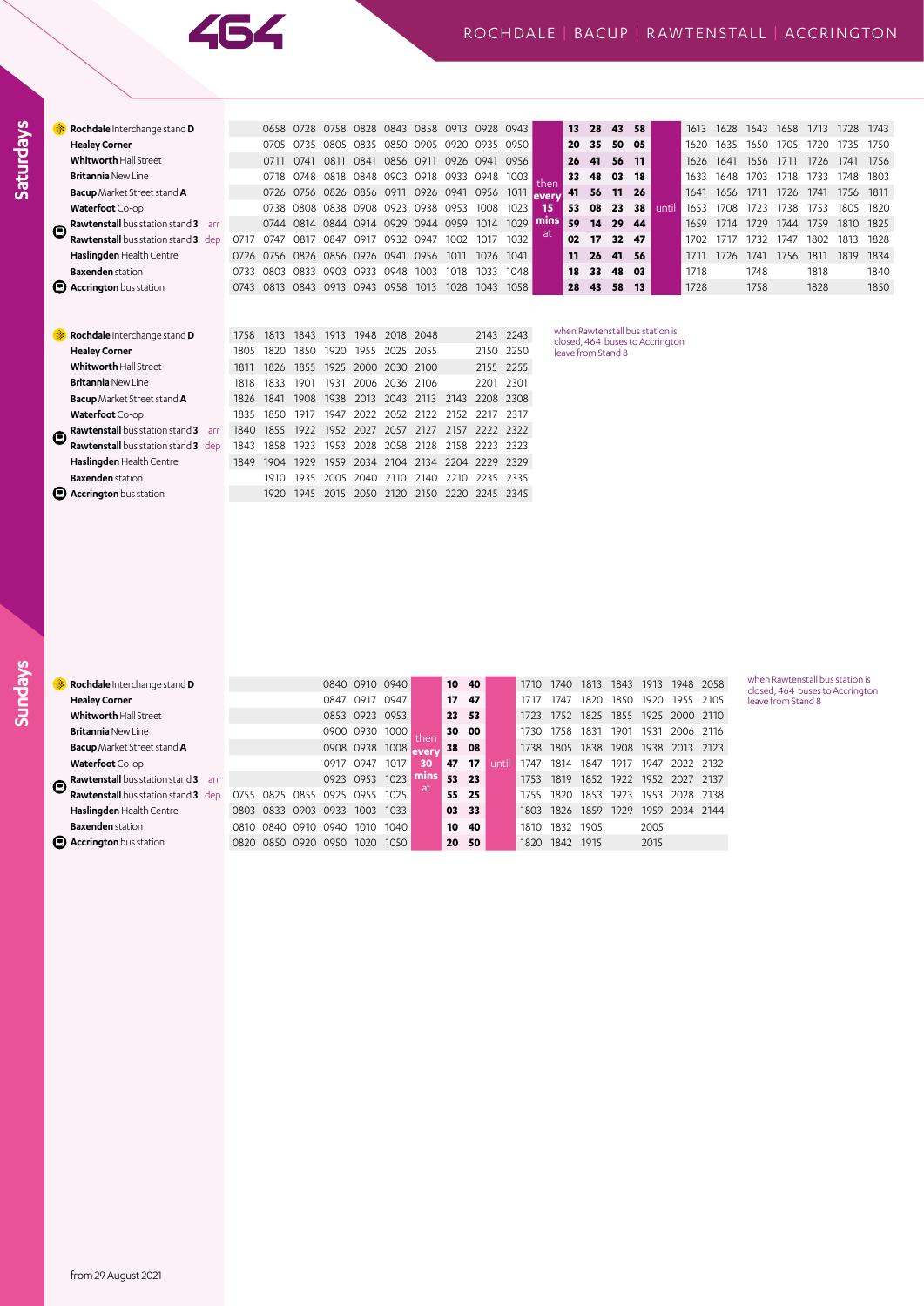|               | Rochdale Interchange stand D                  |      |      | 0658 0728 | 0758           | 0828 0843 |                | 0858 0913                               |                | 0928      | 0943      |        | 13 | 28                 | 43 | 58 |                                                                    | 1613 | 1628 | 1643 | 1658 | 1713 | 1728 | 1743 |
|---------------|-----------------------------------------------|------|------|-----------|----------------|-----------|----------------|-----------------------------------------|----------------|-----------|-----------|--------|----|--------------------|----|----|--------------------------------------------------------------------|------|------|------|------|------|------|------|
|               | <b>Healey Corner</b>                          |      | 0705 | 0735      | 0805           | 0835      | 0850           | 0905 0920                               |                | 0935 0950 |           |        | 20 | 35                 | 50 | 05 |                                                                    | 1620 | 1635 | 1650 | 1705 | 1720 | 1735 | 1750 |
|               | <b>Whitworth Hall Street</b>                  |      | 0711 | 0741      | 0811           | 0841      |                | 0856 0911 0926 0941                     |                |           | 0956      |        | 26 | 41                 | 56 | 11 |                                                                    | 1626 | 1641 | 1656 | 1711 | 1726 | 1741 | 1756 |
|               | <b>Britannia New Line</b>                     |      | 0718 | 0748      | 0818           | 0848 0903 |                |                                         | 0918 0933 0948 |           | 1003      | then   | 33 | 48                 | 03 | 18 |                                                                    | 1633 | 1648 | 1703 | 1718 | 1733 | 1748 | 1803 |
|               | <b>Bacup</b> Market Street stand <b>A</b>     |      |      |           |                |           |                | 0726 0756 0826 0856 0911 0926 0941 0956 |                |           | 1011      | levery | 41 | 56                 | 11 | 26 |                                                                    | 1641 | 1656 | 1711 | 1726 | 1741 | 1756 | 1811 |
|               | Waterfoot Co-op                               |      | 0738 | 0808      |                |           | 0838 0908 0923 | 0938 0953                               |                | 1008      | 1023      | 15     | 53 | 08                 | 23 | 38 | until                                                              | 1653 | 1708 | 1723 | 1738 | 1753 | 1805 | 1820 |
| Θ             | <b>Rawtenstall</b> bus station stand 3<br>arr |      |      | 0744 0814 | 0844 0914 0929 |           |                | 0944 0959                               |                | 1014      | 1029      | mins   | 59 | 14                 | 29 | 44 |                                                                    | 1659 | 1714 | 1729 | 1744 | 1759 | 1810 | 1825 |
|               | <b>Rawtenstall</b> bus station stand 3 dep    | 0717 | 0747 | 0817      | 0847           | 0917      | 0932           | 0947                                    | 1002           | 1017      | 1032      | at     | 02 | 17                 | 32 | 47 |                                                                    | 1702 | 1717 | 1732 | 1747 | 1802 | 1813 | 1828 |
|               | Haslingden Health Centre                      | 0726 | 0756 | 0826      | 0856 0926 0941 |           |                | 0956                                    | 1011           | 1026      | 1041      |        | 11 | 26                 | 41 | 56 |                                                                    | 1711 | 1726 | 1741 | 1756 | 1811 | 1819 | 1834 |
|               | <b>Baxenden</b> station                       | 0733 | 0803 | 0833      | 0903           | 0933      | 0948           | 1003                                    | 1018           | 1033      | 1048      |        | 18 | 33                 | 48 | 03 |                                                                    | 1718 |      | 1748 |      | 1818 |      | 1840 |
|               | <b>B</b> Accrington bus station               | 0743 |      | 0813 0843 |                |           | 0913 0943 0958 | 1013                                    | 1028           | 1043      | 1058      |        | 28 | 43                 | 58 | 13 |                                                                    | 1728 |      | 1758 |      | 1828 |      | 1850 |
|               |                                               |      |      |           |                |           |                |                                         |                |           |           |        |    |                    |    |    |                                                                    |      |      |      |      |      |      |      |
|               | Rochdale Interchange stand D                  | 1758 | 1813 | 1843      | 1913           | 1948      | 2018           | 2048                                    |                | 2143      | 2243      |        |    |                    |    |    | when Rawtenstall bus station is<br>closed, 464 buses to Accrington |      |      |      |      |      |      |      |
|               | <b>Healey Corner</b>                          | 1805 | 1820 | 1850      | 1920           | 1955      | 2025           | 2055                                    |                | 2150      | 2250      |        |    | leave from Stand 8 |    |    |                                                                    |      |      |      |      |      |      |      |
|               | <b>Whitworth Hall Street</b>                  | 1811 | 1826 | 1855      | 1925           | 2000      | 2030           | 2100                                    |                |           | 2155 2255 |        |    |                    |    |    |                                                                    |      |      |      |      |      |      |      |
|               | <b>Britannia New Line</b>                     | 1818 | 1833 | 1901      | 1931           | 2006      | 2036           | 2106                                    |                | 2201      | 2301      |        |    |                    |    |    |                                                                    |      |      |      |      |      |      |      |
|               | <b>Bacup</b> Market Street stand A            | 1826 | 1841 | 1908      | 1938           | 2013      | 2043           | 2113                                    | 2143           | 2208      | 2308      |        |    |                    |    |    |                                                                    |      |      |      |      |      |      |      |
|               | Waterfoot Co-op                               | 1835 | 1850 | 1917      | 1947           | 2022      | 2052           | 2122                                    | 2152           | 2217      | 2317      |        |    |                    |    |    |                                                                    |      |      |      |      |      |      |      |
| $\bm{\Theta}$ | Rawtenstall bus station stand 3 arr           | 1840 | 1855 | 1922      | 1952           | 2027      | 2057           | 2127                                    | 2157           | 2222      | 2322      |        |    |                    |    |    |                                                                    |      |      |      |      |      |      |      |
|               | Rawtenstall bus station stand 3 dep           | 1843 | 1858 | 1923      | 1953           | 2028      | 2058           | 2128                                    | 2158           | 2223      | 2323      |        |    |                    |    |    |                                                                    |      |      |      |      |      |      |      |
|               | Haslingden Health Centre                      | 1849 | 1904 | 1929      | 1959           | 2034      | 2104           | 2134                                    | 2204           | 2229      | 2329      |        |    |                    |    |    |                                                                    |      |      |      |      |      |      |      |
|               | <b>Baxenden</b> station                       |      | 1910 | 1935      | 2005           | 2040      | 2110           | 2140                                    | 2210           | 2235      | 2335      |        |    |                    |    |    |                                                                    |      |      |      |      |      |      |      |
|               | <b>B</b> Accrington bus station               |      | 1920 | 1945      | 2015           | 2050      | 2120           | 2150                                    | 2220           | 2245      | 2345      |        |    |                    |    |    |                                                                    |      |      |      |      |      |      |      |

**Saturdays**

|                       | Rochdale Interchange stand D                  |      |          |           |      | 0840 0910 0940 |      |       |    | 10 40 |       | 1710 | 1740 | 1813 | 1843 | 1913 | 1948                | 2058   |
|-----------------------|-----------------------------------------------|------|----------|-----------|------|----------------|------|-------|----|-------|-------|------|------|------|------|------|---------------------|--------|
|                       | <b>Healey Corner</b>                          |      |          |           | 0847 | 0917           | 0947 |       | 17 | 47    |       | 1717 | 747  | 1820 | 1850 | 1920 | 1955                | -2105  |
|                       | <b>Whitworth Hall Street</b>                  |      |          |           |      | 0853 0923 0953 |      |       |    | 23 53 |       | 1723 | 1752 | 1825 |      |      | 1855 1925 2000 2110 |        |
|                       | <b>Britannia New Line</b>                     |      |          |           | 0900 | 0930           | 1000 | then  |    | 30 00 |       | 1730 | 1758 | 1831 | 1901 | 1931 | 2006                | 2116   |
|                       | <b>Bacup</b> Market Street stand <b>A</b>     |      |          |           |      | 0908 0938 1008 |      | every |    | 38 08 |       | 1738 | 1805 | 1838 | 1908 | 1938 | 2013                | 2123   |
|                       | Waterfoot Co-op                               |      |          |           | 0917 | 0947           | 1017 | 30    | 47 | 17    | until | 1747 | 1814 | 1847 | 1917 | 1947 | 2022                | - 2132 |
| $\boldsymbol{\Theta}$ | <b>Rawtenstall</b> bus station stand 3<br>arr |      |          |           |      | 0923 0953      | 1023 | mıns  |    | 53 23 |       | 1753 | 1819 | 1852 | 1922 | 1952 | 2027                | -2137  |
|                       | Rawtenstall bus station stand 3 dep           | 0755 | 0825     | 0855      | 0925 | 0955           | 1025 | -at   | 55 | 25    |       | 1755 | 1820 | 1853 | 1923 | 1953 | 2028                | - 2138 |
|                       | Haslingden Health Centre                      | 0803 | 0833     | 0903      | 0933 | 1003           | 1033 |       |    | 03 33 |       | 1803 | 1826 | 1859 | 1929 | 1959 | 2034 2144           |        |
|                       | <b>Baxenden</b> station                       | O810 | 0840     | 0910      | 0940 | 1010           | 1040 |       | 10 | 40    |       | 1810 | 1832 | 1905 |      | 2005 |                     |        |
|                       | <b>Accrington</b> bus station                 | O820 | - 0850 - | 0920 0950 |      | 1020           | 1050 |       | 20 | - 50  |       | 1820 | 1842 | 1915 |      | 2015 |                     |        |
|                       |                                               |      |          |           |      |                |      |       |    |       |       |      |      |      |      |      |                     |        |

when Rawtenstall bus station is closed, 464 buses to Accrington leave from Stand 8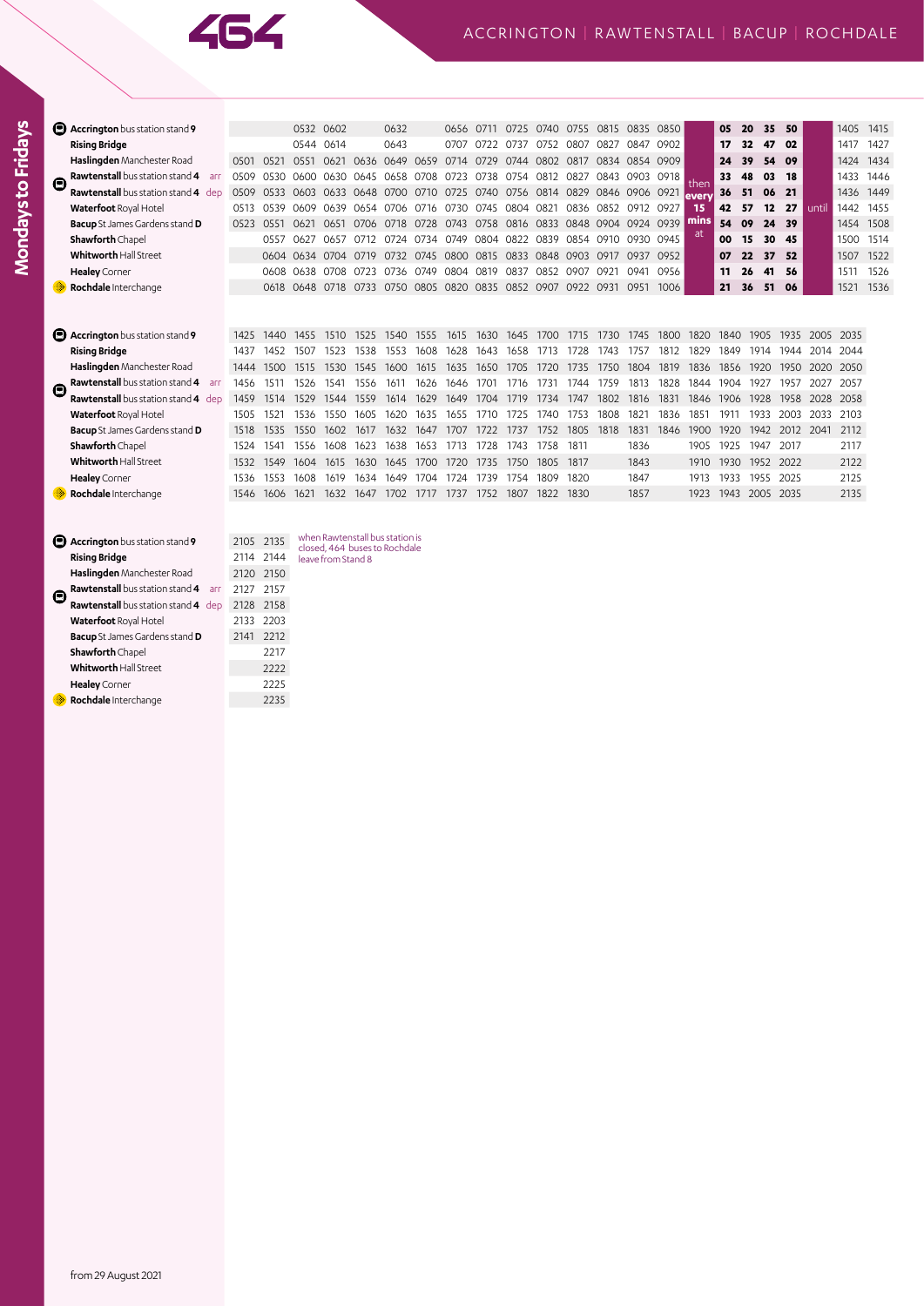

|   | Accrington bus station stand 9             |      |      |                                                             | 0532 0602      |      | 0632                                         |           | 0656 | 0711      | 0725                               | 0740 | 0755 0815 |           | 0835                | 0850 |        | 05             | 20   | 35        | 50   |           | 1405      | 1415 |
|---|--------------------------------------------|------|------|-------------------------------------------------------------|----------------|------|----------------------------------------------|-----------|------|-----------|------------------------------------|------|-----------|-----------|---------------------|------|--------|----------------|------|-----------|------|-----------|-----------|------|
|   | <b>Rising Bridge</b>                       |      |      | 0544                                                        | 0614           |      | 0643                                         |           | 0707 | 0722      | 0737                               | 0752 | 0807      | 0827      | 0847                | 0902 |        | 17             | 32   | 47        | 02   |           | 1417      | 1427 |
|   | Haslingden Manchester Road                 | 0501 | 0521 | 0551                                                        |                |      | 0621 0636 0649                               |           |      |           | 0659 0714 0729 0744 0802           |      | 0817      |           | 0834 0854 0909      |      |        | 24             | 39   | 54<br>09  |      |           | 1424      | 1434 |
| Θ | <b>Rawtenstall</b> bus station stand 4 arr | 0509 |      | 0530 0600 0630 0645 0658 0708 0723                          |                |      |                                              |           |      |           | 0738 0754 0812                     |      | 0827      | 0843      | 0903 0918           |      | then   | 33             | 48   | 03<br>18  |      |           | 1433      | 1446 |
|   | <b>Rawtenstall</b> bus station stand 4 dep | 0509 | 0533 |                                                             |                |      | 0603 0633 0648 0700 0710 0725 0740 0756 0814 |           |      |           |                                    |      | 0829      |           | 0846 0906 0921      |      | leverv | 36             | 51   | 21<br>06  |      |           | 1436      | 1449 |
|   | Waterfoot Royal Hotel                      | 0513 | 0539 | 0609                                                        |                |      | 0639 0654 0706                               | 0716 0730 |      | 0745 0804 |                                    | 0821 |           | 0836 0852 | 0912 0927           |      | 15     | 42             | 57   | 12        | 27   | until     | 1442      | 1455 |
|   | <b>Bacup</b> St James Gardens stand D      | 0523 | 0551 | 0621                                                        | 0651 0706 0718 |      |                                              | 0728      | 0743 |           | 0758 0816 0833                     |      |           |           | 0848 0904 0924 0939 |      | mins   | 54             | 09   | 24 39     |      |           | 1454      | 1508 |
|   | Shawforth Chapel                           |      | 0557 | 0627                                                        | 0657           |      | 0712 0724                                    | 0734      | 0749 |           | 0804 0822 0839                     |      |           | 0854 0910 | 0930 0945           |      | at.    | 00             | 15   | 30<br>45  |      |           | 1500      | 1514 |
|   | <b>Whitworth Hall Street</b>               |      |      | 0604 0634                                                   | 0704 0719      |      | 0732                                         |           |      |           | 0745 0800 0815 0833 0848 0903 0917 |      |           |           | 0937 0952           |      |        | 07             | 22   | 37        | 52   |           | 1507      | 1522 |
|   | <b>Healey</b> Corner                       |      |      | 0608 0638 0708 0723 0736 0749 0804 0819 0837 0852 0907 0921 |                |      |                                              |           |      |           |                                    |      |           |           | 0941 0956           |      |        | 11             | 26   | 41        | -56  |           | 1511      | 1526 |
|   | Rochdale Interchange                       |      | 0618 | 0648                                                        | 0718           |      | 0733 0750                                    | 0805 0820 |      |           | 0835 0852 0907                     |      | 0922 0931 |           | 0951                | 1006 |        | 21             | 36   | 51<br>06  |      |           | 1521      | 1536 |
|   |                                            |      |      |                                                             |                |      |                                              |           |      |           |                                    |      |           |           |                     |      |        |                |      |           |      |           |           |      |
|   | <b>E</b> Accrington bus station stand 9    | 1425 | 1440 | 1455                                                        | 1510           | 1525 | 1540                                         | 1555      | 1615 | 1630      | 1645                               | 1700 | 1715      | 1730      | 1745                | 1800 | 1820   | 1840           | 1905 | 1935      |      | 2005      | 2035      |      |
|   | <b>Rising Bridge</b>                       | 1437 | 1452 | 1507                                                        | 1523           | 1538 | 1553                                         | 1608      | 1628 | 1643      | 1658                               | 1713 | 1728      | 1743      | 1757                | 1812 | 1829   | 1849           | 1914 |           | 1944 |           | 2014 2044 |      |
|   | Haslingden Manchester Road                 | 1444 | 1500 | 1515                                                        | 1530           | 1545 | 1600                                         | 1615      | 1635 | 1650      | 1705                               | 1720 | 1735      | 1750      | 1804                | 1819 | 1836   | 1856           | 1920 |           | 1950 | 2020      | 2050      |      |
| Θ | Rawtenstall bus station stand 4 arr        | 1456 | 1511 | 1526                                                        | 1541           | 1556 | 1611                                         | 1626      | 1646 | 1701      | 1716                               | 1731 | 1744      | 1759      | 1813                | 1828 | 1844   | 1904           | 1927 | 1957      |      | 2027      | 2057      |      |
|   | Rawtenstall bus station stand 4 dep        | 1459 | 1514 | 1529                                                        | 1544           | 1559 | 1614                                         | 1629      | 1649 | 1704      | 1719                               | 1734 | 1747      | 1802      | 1816                | 1831 | 1846   | 1906           | 1928 | 1958      |      | 2028      | 2058      |      |
|   | Waterfoot Royal Hotel                      | 1505 | 1521 | 1536                                                        | 1550           | 1605 | 1620                                         | 1635      | 1655 | 1710      | 1725                               | 1740 | 1753      | 1808      | $182$ <sup>-</sup>  | 1836 | 1851   | 1911           | 1933 |           | 2003 | 2033      | 2103      |      |
|   | <b>Bacup</b> St James Gardens stand D      | 1518 | 1535 | 1550                                                        | 1602           | 1617 | 1632                                         | 1647      | 1707 | 1722      | 1737                               | 1752 | 1805      | 1818      | 1831                | 1846 | 1900   | 1920           | 1942 |           |      | 2012 2041 | 2112      |      |
|   | Shawforth Chapel                           | 1524 | 1541 | 1556                                                        | 1608           | 1623 | 1638                                         | 1653      | 1713 | 1728      | 1743                               | 1758 | 1811      |           | 1836                |      | 1905   | 1925           | 1947 | 2017      |      |           | 2117      |      |
|   | <b>Whitworth Hall Street</b>               | 1532 | 1549 | 1604                                                        | 1615           | 1630 | 1645                                         | 1700      | 1720 | 1735      | 1750                               | 1805 | 1817      |           | 1843                |      | 1910   | 1930           |      | 1952 2022 |      |           | 2122      |      |
|   | <b>Healey</b> Corner                       | 1536 | 1553 | 1608                                                        | 1619           | 1634 | 1649                                         | 1704      | 1724 | 1739      | 1754                               | 1809 | 1820      |           | 1847                |      | 1913   | 1933           | 1955 | 2025      |      |           | 2125      |      |
|   | Rochdale Interchange                       | 1546 | 1606 | 1621                                                        | 1632           | 1647 | 1702                                         | 1717      | 1737 | 1752      | 1807                               | 1822 | 1830      |           | 1857                |      | 1923   | 1943 2005 2035 |      |           |      |           | 2135      |      |
|   |                                            |      |      |                                                             |                |      |                                              |           |      |           |                                    |      |           |           |                     |      |        |                |      |           |      |           |           |      |
|   |                                            |      |      |                                                             |                |      |                                              |           |      |           |                                    |      |           |           |                     |      |        |                |      |           |      |           |           |      |
|   |                                            |      |      | <b>Expansion Inc. In the Powtopetal busistance</b>          |                |      |                                              |           |      |           |                                    |      |           |           |                     |      |        |                |      |           |      |           |           |      |

| <b>Accrington</b> bus station stand 9         | 2105 2135 |      |
|-----------------------------------------------|-----------|------|
| <b>Rising Bridge</b>                          | 2114 2144 |      |
| Haslingden Manchester Road                    | 2120 2150 |      |
| <b>Rawtenstall</b> bus station stand 4<br>arr | 2127      | 2157 |
| Rawtenstall bus station stand 4 dep           | 2128 2158 |      |
| Waterfoot Royal Hotel                         | 2133      | 2203 |
| <b>Bacup</b> St James Gardens stand D         | 2141      | 2212 |
| <b>Shawforth</b> Chapel                       |           | 2217 |
| Whitworth Hall Street                         |           | 2222 |
| <b>Healey</b> Corner                          |           | 2225 |
| Rochdale Interchange                          |           | 2235 |

when Rawtenstall bus station is closed, 464 buses to Rochdale leave from Stand 8